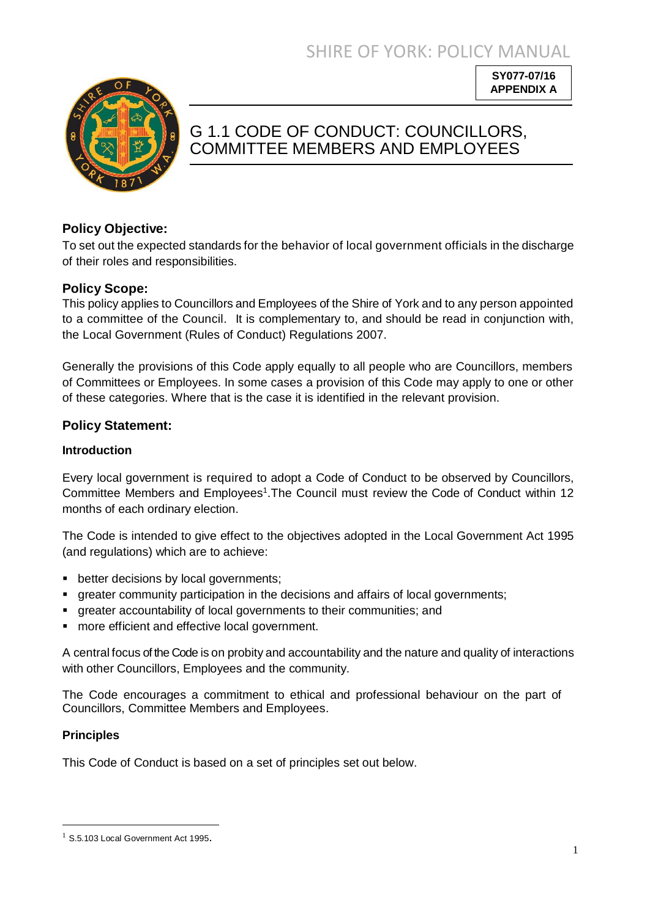SHIRE OF YORK: POLICY MANUAL

**SY077-07/16 APPENDIX A**



# G 1.1 CODE OF CONDUCT: COUNCILLORS, COMMITTEE MEMBERS AND EMPLOYEES

## **Policy Objective:**

To set out the expected standards for the behavior of local government officials in the discharge of their roles and responsibilities.

## **Policy Scope:**

This policy applies to Councillors and Employees of the Shire of York and to any person appointed to a committee of the Council. It is complementary to, and should be read in conjunction with, the Local Government (Rules of Conduct) Regulations 2007.

Generally the provisions of this Code apply equally to all people who are Councillors, members of Committees or Employees. In some cases a provision of this Code may apply to one or other of these categories. Where that is the case it is identified in the relevant provision.

## **Policy Statement:**

## **Introduction**

Every local government is required to adopt a Code of Conduct to be observed by Councillors, Committee Members and Employees<sup>1</sup>. The Council must review the Code of Conduct within 12 months of each ordinary election.

The Code is intended to give effect to the objectives adopted in the Local Government Act 1995 (and regulations) which are to achieve:

- **better decisions by local governments;**
- greater community participation in the decisions and affairs of local governments;
- greater accountability of local governments to their communities; and
- **nable 3** more efficient and effective local government.

A central focus of the Code is on probity and accountability and the nature and quality of interactions with other Councillors, Employees and the community.

The Code encourages a commitment to ethical and professional behaviour on the part of Councillors, Committee Members and Employees.

## **Principles**

l

This Code of Conduct is based on a set of principles set out below.

 $1$  S.5.103 Local Government Act 1995.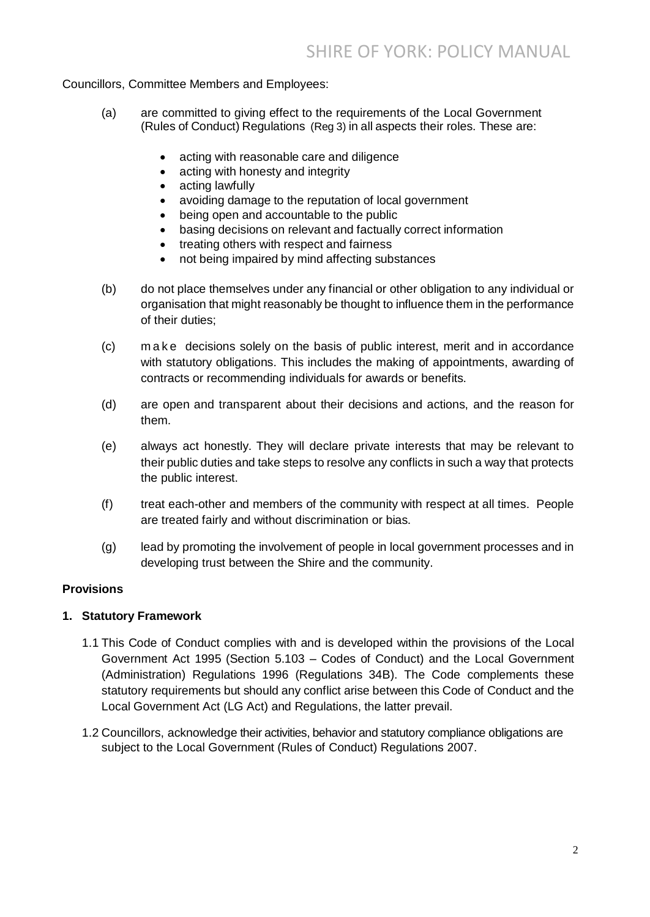Councillors, Committee Members and Employees:

- (a) are committed to giving effect to the requirements of the Local Government (Rules of Conduct) Regulations (Reg 3) in all aspects their roles. These are:
	- acting with reasonable care and diligence
	- acting with honesty and integrity
	- acting lawfully
	- avoiding damage to the reputation of local government
	- being open and accountable to the public
	- basing decisions on relevant and factually correct information
	- treating others with respect and fairness
	- not being impaired by mind affecting substances
- (b) do not place themselves under any financial or other obligation to any individual or organisation that might reasonably be thought to influence them in the performance of their duties;
- (c) m a k e decisions solely on the basis of public interest, merit and in accordance with statutory obligations. This includes the making of appointments, awarding of contracts or recommending individuals for awards or benefits.
- (d) are open and transparent about their decisions and actions, and the reason for them.
- (e) always act honestly. They will declare private interests that may be relevant to their public duties and take steps to resolve any conflicts in such a way that protects the public interest.
- (f) treat each-other and members of the community with respect at all times. People are treated fairly and without discrimination or bias.
- (g) lead by promoting the involvement of people in local government processes and in developing trust between the Shire and the community.

#### **Provisions**

#### **1. Statutory Framework**

- 1.1 This Code of Conduct complies with and is developed within the provisions of the Local Government Act 1995 (Section 5.103 – Codes of Conduct) and the Local Government (Administration) Regulations 1996 (Regulations 34B). The Code complements these statutory requirements but should any conflict arise between this Code of Conduct and the Local Government Act (LG Act) and Regulations, the latter prevail.
- 1.2 Councillors, acknowledge their activities, behavior and statutory compliance obligations are subject to the Local Government (Rules of Conduct) Regulations 2007.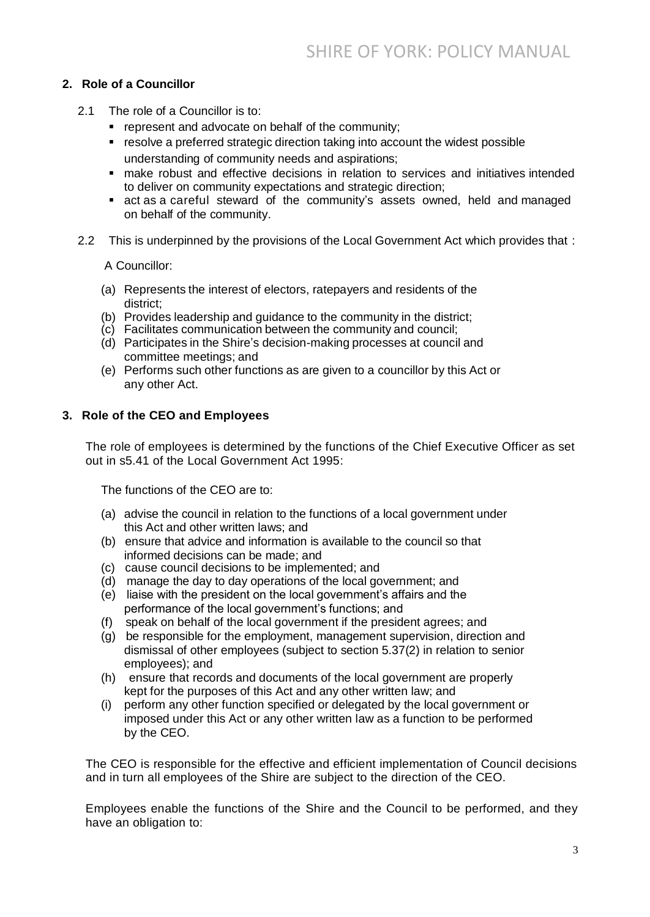## **2. Role of a Councillor**

- 2.1 The role of a Councillor is to:
	- **F** represent and advocate on behalf of the community:
	- resolve a preferred strategic direction taking into account the widest possible understanding of community needs and aspirations;
	- make robust and effective decisions in relation to services and initiatives intended to deliver on community expectations and strategic direction;
	- act as a careful steward of the community's assets owned, held and managed on behalf of the community.
- 2.2 This is underpinned by the provisions of the Local Government Act which provides that :

A Councillor:

- (a) Represents the interest of electors, ratepayers and residents of the district;
- (b) Provides leadership and guidance to the community in the district;
- (c) Facilitates communication between the community and council;
- (d) Participates in the Shire's decision-making processes at council and committee meetings; and
- (e) Performs such other functions as are given to a councillor by this Act or any other Act.

#### **3. Role of the CEO and Employees**

The role of employees is determined by the functions of the Chief Executive Officer as set out in s5.41 of the Local Government Act 1995:

The functions of the CEO are to:

- (a) advise the council in relation to the functions of a local government under this Act and other written laws; and
- (b) ensure that advice and information is available to the council so that informed decisions can be made; and
- (c) cause council decisions to be implemented; and
- (d) manage the day to day operations of the local government; and
- (e) liaise with the president on the local government's affairs and the performance of the local government's functions; and
- (f) speak on behalf of the local government if the president agrees; and
- (g) be responsible for the employment, management supervision, direction and dismissal of other employees (subject to section 5.37(2) in relation to senior employees); and
- (h) ensure that records and documents of the local government are properly kept for the purposes of this Act and any other written law; and
- (i) perform any other function specified or delegated by the local government or imposed under this Act or any other written law as a function to be performed by the CEO.

The CEO is responsible for the effective and efficient implementation of Council decisions and in turn all employees of the Shire are subject to the direction of the CEO.

Employees enable the functions of the Shire and the Council to be performed, and they have an obligation to: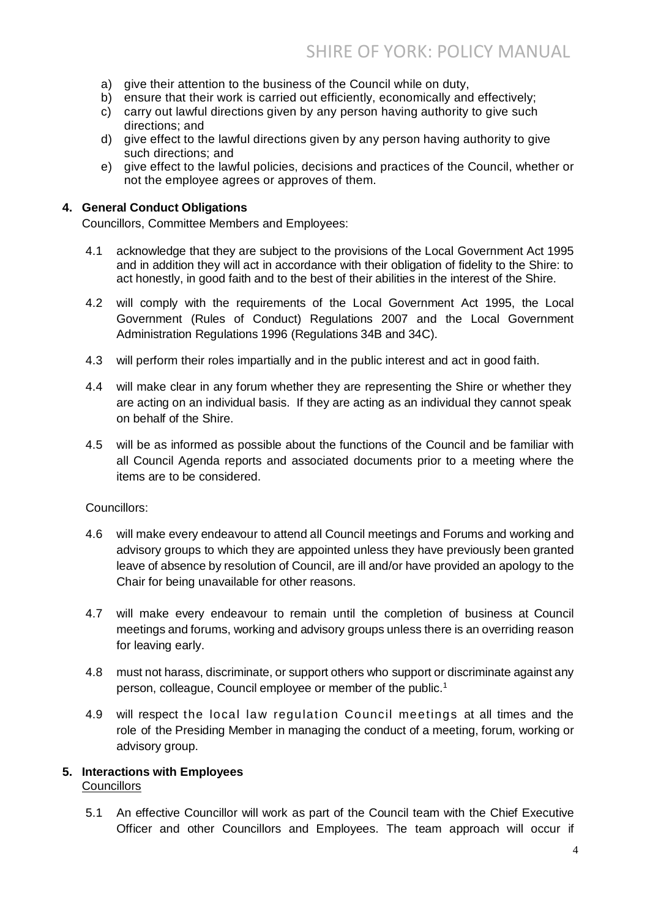- a) give their attention to the business of the Council while on duty,
- b) ensure that their work is carried out efficiently, economically and effectively;
- c) carry out lawful directions given by any person having authority to give such directions; and
- d) give effect to the lawful directions given by any person having authority to give such directions; and
- e) give effect to the lawful policies, decisions and practices of the Council, whether or not the employee agrees or approves of them.

#### **4. General Conduct Obligations**

Councillors, Committee Members and Employees:

- 4.1 acknowledge that they are subject to the provisions of the Local Government Act 1995 and in addition they will act in accordance with their obligation of fidelity to the Shire: to act honestly, in good faith and to the best of their abilities in the interest of the Shire.
- 4.2 will comply with the requirements of the Local Government Act 1995, the Local Government (Rules of Conduct) Regulations 2007 and the Local Government Administration Regulations 1996 (Regulations 34B and 34C).
- 4.3 will perform their roles impartially and in the public interest and act in good faith.
- 4.4 will make clear in any forum whether they are representing the Shire or whether they are acting on an individual basis. If they are acting as an individual they cannot speak on behalf of the Shire.
- 4.5 will be as informed as possible about the functions of the Council and be familiar with all Council Agenda reports and associated documents prior to a meeting where the items are to be considered.

#### Councillors:

- 4.6 will make every endeavour to attend all Council meetings and Forums and working and advisory groups to which they are appointed unless they have previously been granted leave of absence by resolution of Council, are ill and/or have provided an apology to the Chair for being unavailable for other reasons.
- 4.7 will make every endeavour to remain until the completion of business at Council meetings and forums, working and advisory groups unless there is an overriding reason for leaving early.
- 4.8 must not harass, discriminate, or support others who support or discriminate against any person, colleague, Council employee or member of the public.<sup>1</sup>
- 4.9 will respect the local law regulation Council meetings at all times and the role of the Presiding Member in managing the conduct of a meeting, forum, working or advisory group.

#### **5. Interactions with Employees**

#### **Councillors**

5.1 An effective Councillor will work as part of the Council team with the Chief Executive Officer and other Councillors and Employees. The team approach will occur if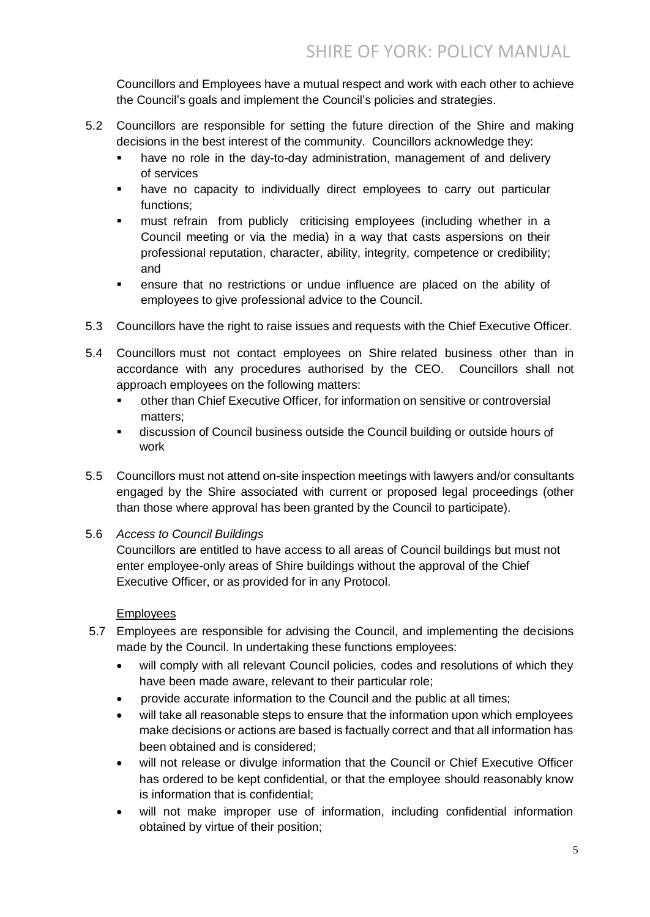Councillors and Employees have a mutual respect and work with each other to achieve the Council's goals and implement the Council's policies and strategies.

- 5.2 Councillors are responsible for setting the future direction of the Shire and making decisions in the best interest of the community. Councillors acknowledge they:
	- have no role in the day-to-day administration, management of and delivery of services
	- have no capacity to individually direct employees to carry out particular functions;
	- must refrain from publicly criticising employees (including whether in a Council meeting or via the media) in a way that casts aspersions on their professional reputation, character, ability, integrity, competence or credibility; and
	- ensure that no restrictions or undue influence are placed on the ability of employees to give professional advice to the Council.
- 5.3 Councillors have the right to raise issues and requests with the Chief Executive Officer.
- 5.4 Councillors must not contact employees on Shire related business other than in accordance with any procedures authorised by the CEO. Councillors shall not approach employees on the following matters:
	- other than Chief Executive Officer, for information on sensitive or controversial matters;
	- discussion of Council business outside the Council building or outside hours of work
- 5.5 Councillors must not attend on-site inspection meetings with lawyers and/or consultants engaged by the Shire associated with current or proposed legal proceedings (other than those where approval has been granted by the Council to participate).
- 5.6 *Access to Council Buildings*

Councillors are entitled to have access to all areas of Council buildings but must not enter employee-only areas of Shire buildings without the approval of the Chief Executive Officer, or as provided for in any Protocol.

## Employees

- 5.7 Employees are responsible for advising the Council, and implementing the decisions made by the Council. In undertaking these functions employees:
	- will comply with all relevant Council policies, codes and resolutions of which they have been made aware, relevant to their particular role;
	- provide accurate information to the Council and the public at all times;
	- will take all reasonable steps to ensure that the information upon which employees make decisions or actions are based is factually correct and that all information has been obtained and is considered;
	- will not release or divulge information that the Council or Chief Executive Officer has ordered to be kept confidential, or that the employee should reasonably know is information that is confidential;
	- will not make improper use of information, including confidential information obtained by virtue of their position;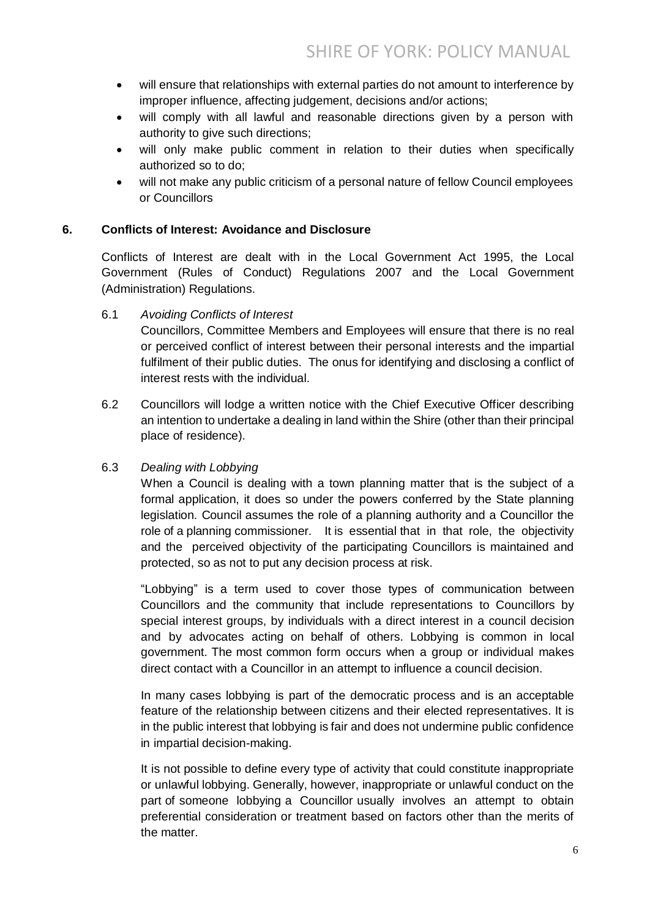- will ensure that relationships with external parties do not amount to interference by improper influence, affecting judgement, decisions and/or actions;
- will comply with all lawful and reasonable directions given by a person with authority to give such directions;
- will only make public comment in relation to their duties when specifically authorized so to do;
- will not make any public criticism of a personal nature of fellow Council employees or Councillors

## **6. Conflicts of Interest: Avoidance and Disclosure**

Conflicts of Interest are dealt with in the Local Government Act 1995, the Local Government (Rules of Conduct) Regulations 2007 and the Local Government (Administration) Regulations.

6.1 *Avoiding Conflicts of Interest*

Councillors, Committee Members and Employees will ensure that there is no real or perceived conflict of interest between their personal interests and the impartial fulfilment of their public duties. The onus for identifying and disclosing a conflict of interest rests with the individual.

6.2 Councillors will lodge a written notice with the Chief Executive Officer describing an intention to undertake a dealing in land within the Shire (other than their principal place of residence).

## 6.3 *Dealing with Lobbying*

When a Council is dealing with a town planning matter that is the subject of a formal application, it does so under the powers conferred by the State planning legislation. Council assumes the role of a planning authority and a Councillor the role of a planning commissioner. It is essential that in that role, the objectivity and the perceived objectivity of the participating Councillors is maintained and protected, so as not to put any decision process at risk.

"Lobbying" is a term used to cover those types of communication between Councillors and the community that include representations to Councillors by special interest groups, by individuals with a direct interest in a council decision and by advocates acting on behalf of others. Lobbying is common in local government. The most common form occurs when a group or individual makes direct contact with a Councillor in an attempt to influence a council decision.

In many cases lobbying is part of the democratic process and is an acceptable feature of the relationship between citizens and their elected representatives. It is in the public interest that lobbying is fair and does not undermine public confidence in impartial decision-making.

It is not possible to define every type of activity that could constitute inappropriate or unlawful lobbying. Generally, however, inappropriate or unlawful conduct on the part of someone lobbying a Councillor usually involves an attempt to obtain preferential consideration or treatment based on factors other than the merits of the matter.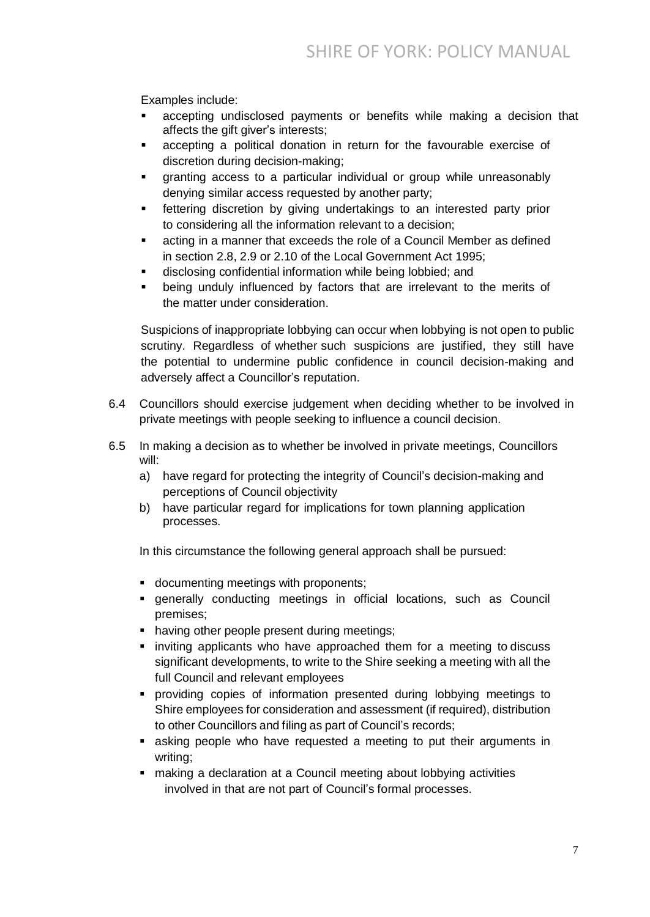Examples include:

- accepting undisclosed payments or benefits while making a decision that affects the gift giver's interests;
- accepting a political donation in return for the favourable exercise of discretion during decision-making;
- granting access to a particular individual or group while unreasonably denying similar access requested by another party;
- **Fact example 1** fettering discretion by giving undertakings to an interested party prior to considering all the information relevant to a decision;
- acting in a manner that exceeds the role of a Council Member as defined in section 2.8, 2.9 or 2.10 of the Local Government Act 1995;
- disclosing confidential information while being lobbied; and
- being unduly influenced by factors that are irrelevant to the merits of the matter under consideration.

Suspicions of inappropriate lobbying can occur when lobbying is not open to public scrutiny. Regardless of whether such suspicions are justified, they still have the potential to undermine public confidence in council decision-making and adversely affect a Councillor's reputation.

- 6.4 Councillors should exercise judgement when deciding whether to be involved in private meetings with people seeking to influence a council decision.
- 6.5 In making a decision as to whether be involved in private meetings, Councillors will:
	- a) have regard for protecting the integrity of Council's decision-making and perceptions of Council objectivity
	- b) have particular regard for implications for town planning application processes.

In this circumstance the following general approach shall be pursued:

- documenting meetings with proponents;
- generally conducting meetings in official locations, such as Council premises;
- having other people present during meetings:
- inviting applicants who have approached them for a meeting to discuss significant developments, to write to the Shire seeking a meeting with all the full Council and relevant employees
- providing copies of information presented during lobbying meetings to Shire employees for consideration and assessment (if required), distribution to other Councillors and filing as part of Council's records;
- asking people who have requested a meeting to put their arguments in writing;
- making a declaration at a Council meeting about lobbying activities involved in that are not part of Council's formal processes.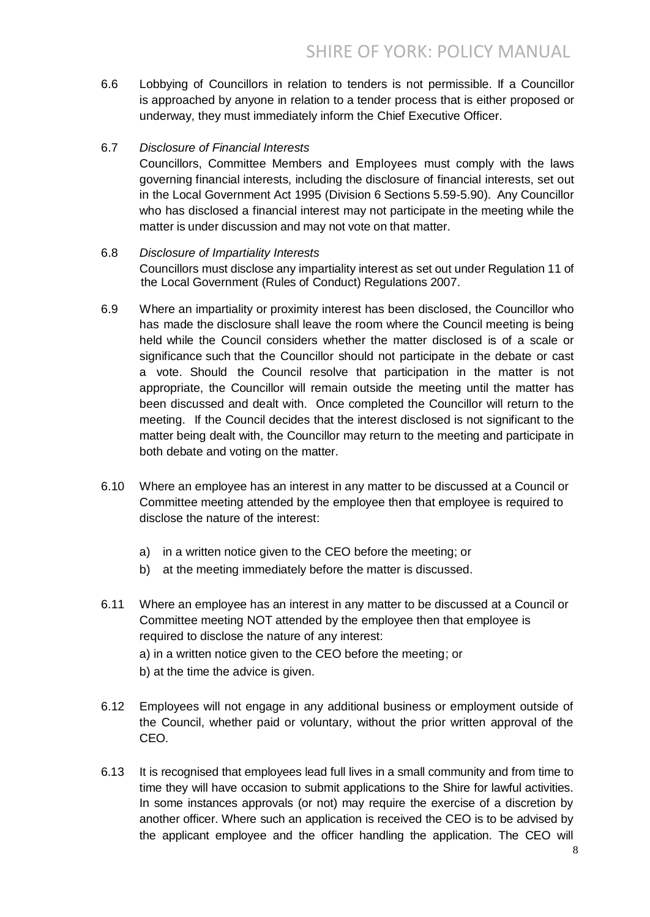6.6 Lobbying of Councillors in relation to tenders is not permissible. If a Councillor is approached by anyone in relation to a tender process that is either proposed or underway, they must immediately inform the Chief Executive Officer.

## 6.7 *Disclosure of Financial Interests*

Councillors, Committee Members and Employees must comply with the laws governing financial interests, including the disclosure of financial interests, set out in the Local Government Act 1995 (Division 6 Sections 5.59-5.90). Any Councillor who has disclosed a financial interest may not participate in the meeting while the matter is under discussion and may not vote on that matter.

## 6.8 *Disclosure of Impartiality Interests* Councillors must disclose any impartiality interest as set out under Regulation 11 of the Local Government (Rules of Conduct) Regulations 2007.

- 6.9 Where an impartiality or proximity interest has been disclosed, the Councillor who has made the disclosure shall leave the room where the Council meeting is being held while the Council considers whether the matter disclosed is of a scale or significance such that the Councillor should not participate in the debate or cast a vote. Should the Council resolve that participation in the matter is not appropriate, the Councillor will remain outside the meeting until the matter has been discussed and dealt with. Once completed the Councillor will return to the meeting. If the Council decides that the interest disclosed is not significant to the matter being dealt with, the Councillor may return to the meeting and participate in both debate and voting on the matter.
- 6.10 Where an employee has an interest in any matter to be discussed at a Council or Committee meeting attended by the employee then that employee is required to disclose the nature of the interest:
	- a) in a written notice given to the CEO before the meeting; or
	- b) at the meeting immediately before the matter is discussed.
- 6.11 Where an employee has an interest in any matter to be discussed at a Council or Committee meeting NOT attended by the employee then that employee is required to disclose the nature of any interest: a) in a written notice given to the CEO before the meeting; or b) at the time the advice is given.
- 6.12 Employees will not engage in any additional business or employment outside of the Council, whether paid or voluntary, without the prior written approval of the CEO.
- 6.13 It is recognised that employees lead full lives in a small community and from time to time they will have occasion to submit applications to the Shire for lawful activities. In some instances approvals (or not) may require the exercise of a discretion by another officer. Where such an application is received the CEO is to be advised by the applicant employee and the officer handling the application. The CEO will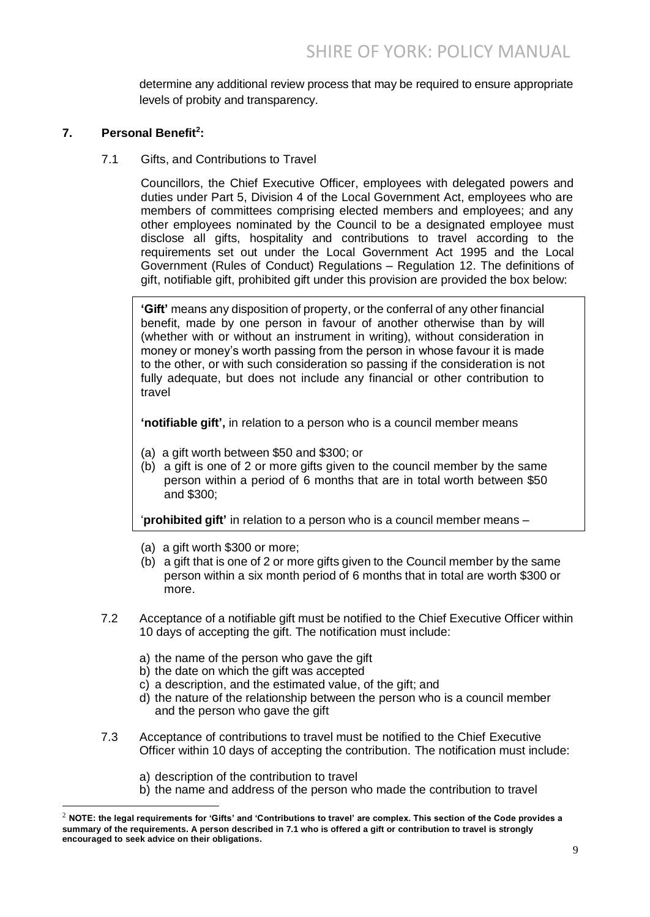determine any additional review process that may be required to ensure appropriate levels of probity and transparency.

## **7. Personal Benefit 2 :**

7.1 Gifts, and Contributions to Travel

Councillors, the Chief Executive Officer, employees with delegated powers and duties under Part 5, Division 4 of the Local Government Act, employees who are members of committees comprising elected members and employees; and any other employees nominated by the Council to be a designated employee must disclose all gifts, hospitality and contributions to travel according to the requirements set out under the Local Government Act 1995 and the Local Government (Rules of Conduct) Regulations – Regulation 12. The definitions of gift, notifiable gift, prohibited gift under this provision are provided the box below:

**'Gift'** means any disposition of property, or the conferral of any other financial benefit, made by one person in favour of another otherwise than by will (whether with or without an instrument in writing), without consideration in money or money's worth passing from the person in whose favour it is made to the other, or with such consideration so passing if the consideration is not fully adequate, but does not include any financial or other contribution to travel

**'notifiable gift',** in relation to a person who is a council member means

- (a) a gift worth between \$50 and \$300; or
- (b) a gift is one of 2 or more gifts given to the council member by the same person within a period of 6 months that are in total worth between \$50 and \$300;

'**prohibited gift'** in relation to a person who is a council member means –

- (a) a gift worth \$300 or more;
- (b) a gift that is one of 2 or more gifts given to the Council member by the same person within a six month period of 6 months that in total are worth \$300 or more.
- 7.2 Acceptance of a notifiable gift must be notified to the Chief Executive Officer within 10 days of accepting the gift. The notification must include:
	- a) the name of the person who gave the gift
	- b) the date on which the gift was accepted
	- c) a description, and the estimated value, of the gift; and
	- d) the nature of the relationship between the person who is a council member and the person who gave the gift
- 7.3 Acceptance of contributions to travel must be notified to the Chief Executive Officer within 10 days of accepting the contribution. The notification must include:
	- a) description of the contribution to travel

-

b) the name and address of the person who made the contribution to travel

 $^2$  NOTE: the legal requirements for 'Gifts' and 'Contributions to travel' are complex. This section of the Code provides a **summary of the requirements. A person described in 7.1 who is offered a gift or contribution to travel is strongly encouraged to seek advice on their obligations.**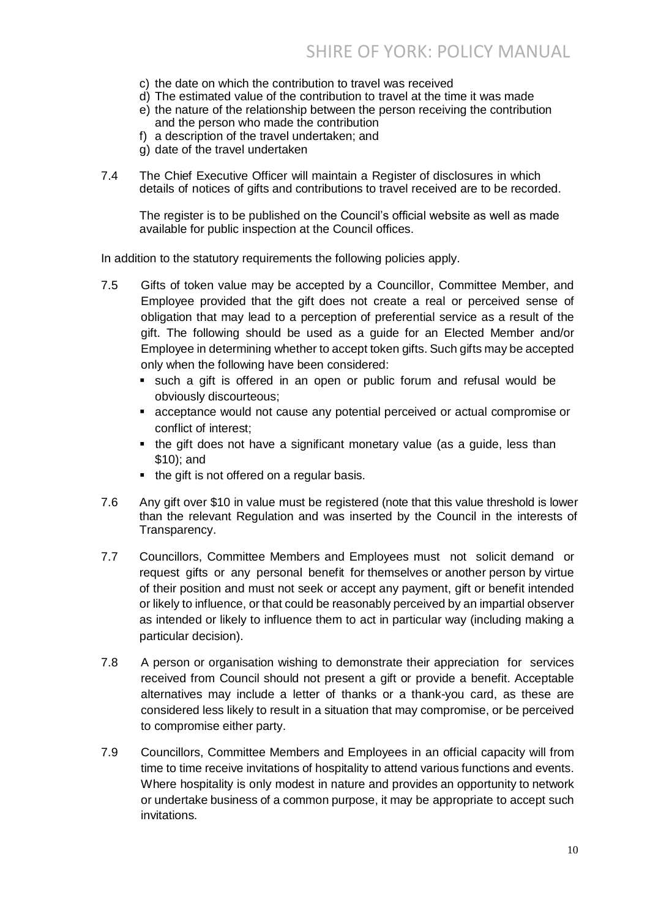- c) the date on which the contribution to travel was received
- d) The estimated value of the contribution to travel at the time it was made
- e) the nature of the relationship between the person receiving the contribution and the person who made the contribution
- f) a description of the travel undertaken; and
- g) date of the travel undertaken
- 7.4 The Chief Executive Officer will maintain a Register of disclosures in which details of notices of gifts and contributions to travel received are to be recorded.

The register is to be published on the Council's official website as well as made available for public inspection at the Council offices.

In addition to the statutory requirements the following policies apply.

- 7.5 Gifts of token value may be accepted by a Councillor, Committee Member, and Employee provided that the gift does not create a real or perceived sense of obligation that may lead to a perception of preferential service as a result of the gift. The following should be used as a guide for an Elected Member and/or Employee in determining whether to accept token gifts. Such gifts may be accepted only when the following have been considered:
	- such a gift is offered in an open or public forum and refusal would be obviously discourteous;
	- acceptance would not cause any potential perceived or actual compromise or conflict of interest;
	- the gift does not have a significant monetary value (as a guide, less than \$10); and
	- $\blacksquare$  the gift is not offered on a regular basis.
- 7.6 Any gift over \$10 in value must be registered (note that this value threshold is lower than the relevant Regulation and was inserted by the Council in the interests of Transparency.
- 7.7 Councillors, Committee Members and Employees must not solicit demand or request gifts or any personal benefit for themselves or another person by virtue of their position and must not seek or accept any payment, gift or benefit intended or likely to influence, or that could be reasonably perceived by an impartial observer as intended or likely to influence them to act in particular way (including making a particular decision).
- 7.8 A person or organisation wishing to demonstrate their appreciation for services received from Council should not present a gift or provide a benefit. Acceptable alternatives may include a letter of thanks or a thank-you card, as these are considered less likely to result in a situation that may compromise, or be perceived to compromise either party.
- 7.9 Councillors, Committee Members and Employees in an official capacity will from time to time receive invitations of hospitality to attend various functions and events. Where hospitality is only modest in nature and provides an opportunity to network or undertake business of a common purpose, it may be appropriate to accept such invitations.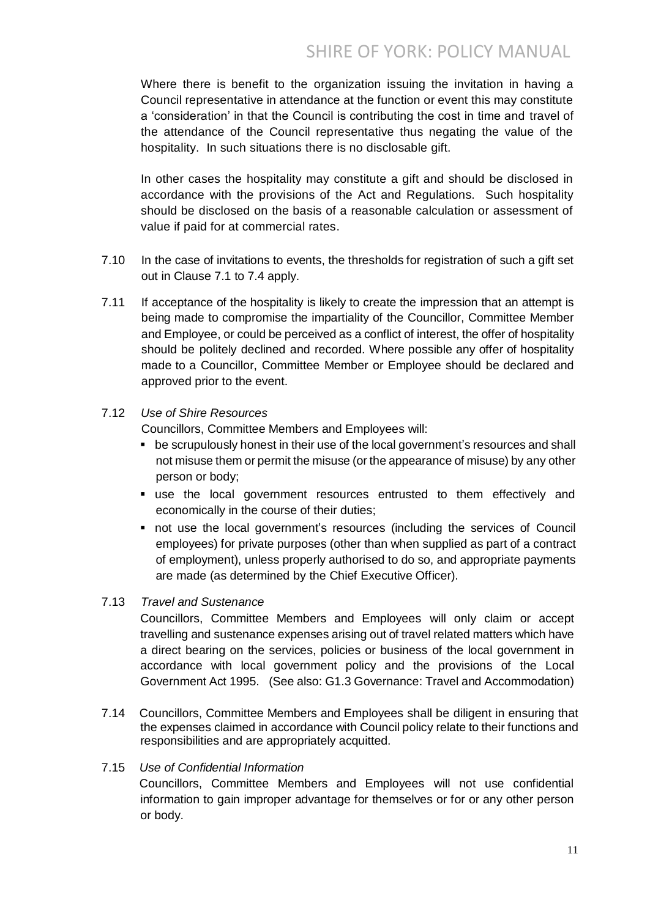Where there is benefit to the organization issuing the invitation in having a Council representative in attendance at the function or event this may constitute a 'consideration' in that the Council is contributing the cost in time and travel of the attendance of the Council representative thus negating the value of the hospitality. In such situations there is no disclosable gift.

In other cases the hospitality may constitute a gift and should be disclosed in accordance with the provisions of the Act and Regulations. Such hospitality should be disclosed on the basis of a reasonable calculation or assessment of value if paid for at commercial rates.

- 7.10 In the case of invitations to events, the thresholds for registration of such a gift set out in Clause 7.1 to 7.4 apply.
- 7.11 If acceptance of the hospitality is likely to create the impression that an attempt is being made to compromise the impartiality of the Councillor, Committee Member and Employee, or could be perceived as a conflict of interest, the offer of hospitality should be politely declined and recorded. Where possible any offer of hospitality made to a Councillor, Committee Member or Employee should be declared and approved prior to the event.

## 7.12 *Use of Shire Resources*

Councillors, Committee Members and Employees will:

- **•** be scrupulously honest in their use of the local government's resources and shall not misuse them or permit the misuse (or the appearance of misuse) by any other person or body;
- use the local government resources entrusted to them effectively and economically in the course of their duties;
- not use the local government's resources (including the services of Council employees) for private purposes (other than when supplied as part of a contract of employment), unless properly authorised to do so, and appropriate payments are made (as determined by the Chief Executive Officer).

#### 7.13 *Travel and Sustenance*

Councillors, Committee Members and Employees will only claim or accept travelling and sustenance expenses arising out of travel related matters which have a direct bearing on the services, policies or business of the local government in accordance with local government policy and the provisions of the Local Government Act 1995. (See also: G1.3 Governance: Travel and Accommodation)

7.14 Councillors, Committee Members and Employees shall be diligent in ensuring that the expenses claimed in accordance with Council policy relate to their functions and responsibilities and are appropriately acquitted.

#### 7.15 *Use of Confidential Information*

Councillors, Committee Members and Employees will not use confidential information to gain improper advantage for themselves or for or any other person or body.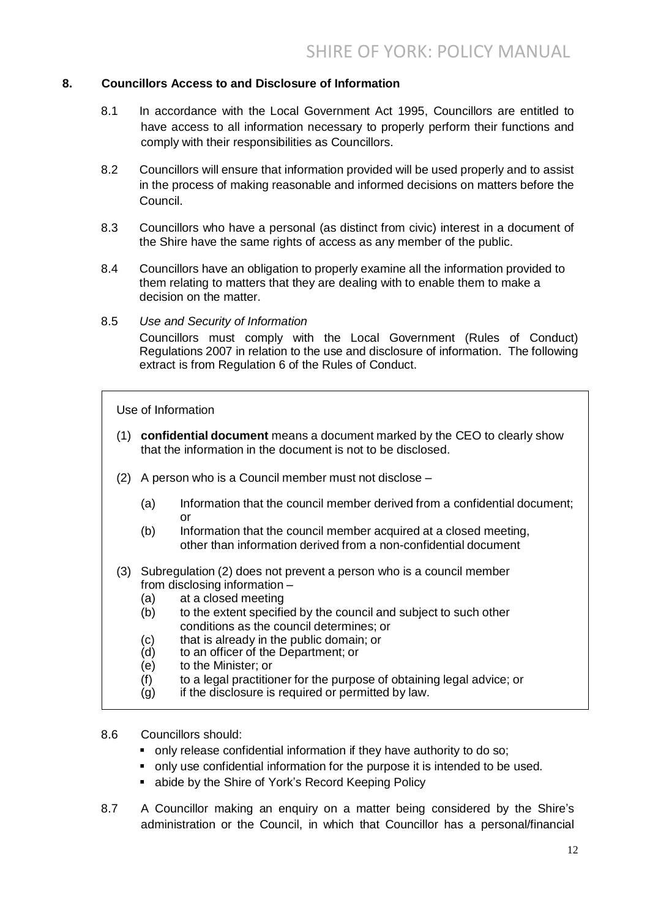### **8. Councillors Access to and Disclosure of Information**

- 8.1 In accordance with the Local Government Act 1995, Councillors are entitled to have access to all information necessary to properly perform their functions and comply with their responsibilities as Councillors.
- 8.2 Councillors will ensure that information provided will be used properly and to assist in the process of making reasonable and informed decisions on matters before the Council.
- 8.3 Councillors who have a personal (as distinct from civic) interest in a document of the Shire have the same rights of access as any member of the public.
- 8.4 Councillors have an obligation to properly examine all the information provided to them relating to matters that they are dealing with to enable them to make a decision on the matter.
- 8.5 *Use and Security of Information*

Councillors must comply with the Local Government (Rules of Conduct) Regulations 2007 in relation to the use and disclosure of information. The following extract is from Regulation 6 of the Rules of Conduct.

Use of Information

- (1) **confidential document** means a document marked by the CEO to clearly show that the information in the document is not to be disclosed.
- (2) A person who is a Council member must not disclose
	- (a) Information that the council member derived from a confidential document; or
	- (b) Information that the council member acquired at a closed meeting. other than information derived from a non-confidential document
- (3) Subregulation (2) does not prevent a person who is a council member from disclosing information –
	- (a) at a closed meeting
	- (b) to the extent specified by the council and subject to such other conditions as the council determines; or
	- (c) that is already in the public domain; or (d) to an officer of the Department: or
	- to an officer of the Department; or
	- (e) to the Minister; or
	- (f) to a legal practitioner for the purpose of obtaining legal advice; or
	- $(q)$  if the disclosure is required or permitted by law.
- 8.6 Councillors should:
	- only release confidential information if they have authority to do so;
	- only use confidential information for the purpose it is intended to be used.
	- abide by the Shire of York's Record Keeping Policy
- 8.7 A Councillor making an enquiry on a matter being considered by the Shire's administration or the Council, in which that Councillor has a personal/financial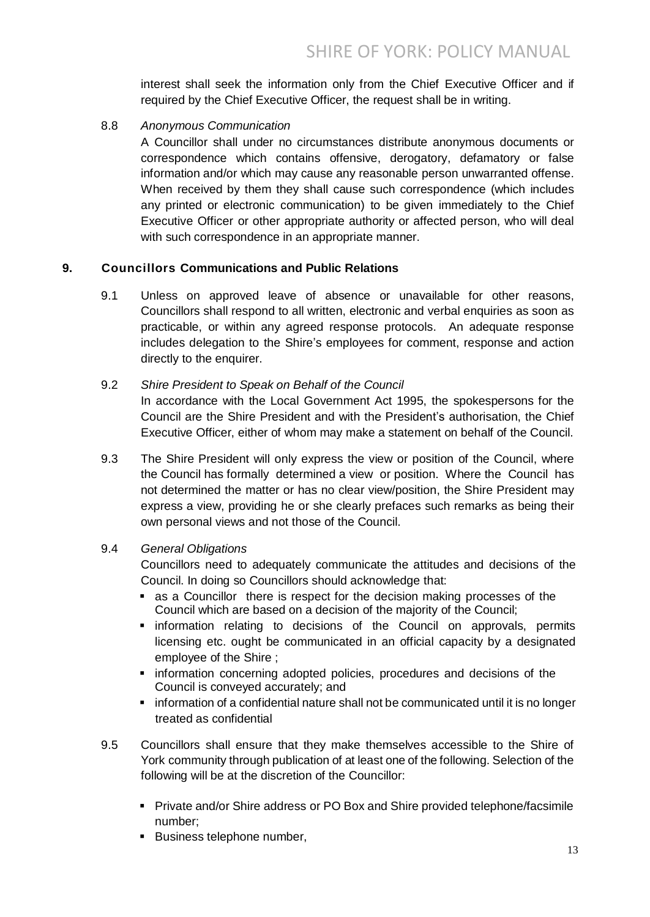interest shall seek the information only from the Chief Executive Officer and if required by the Chief Executive Officer, the request shall be in writing.

8.8 *Anonymous Communication*

A Councillor shall under no circumstances distribute anonymous documents or correspondence which contains offensive, derogatory, defamatory or false information and/or which may cause any reasonable person unwarranted offense. When received by them they shall cause such correspondence (which includes any printed or electronic communication) to be given immediately to the Chief Executive Officer or other appropriate authority or affected person, who will deal with such correspondence in an appropriate manner.

## **9. Councillors Communications and Public Relations**

9.1 Unless on approved leave of absence or unavailable for other reasons, Councillors shall respond to all written, electronic and verbal enquiries as soon as practicable, or within any agreed response protocols. An adequate response includes delegation to the Shire's employees for comment, response and action directly to the enquirer.

#### 9.2 *Shire President to Speak on Behalf of the Council*

In accordance with the Local Government Act 1995, the spokespersons for the Council are the Shire President and with the President's authorisation, the Chief Executive Officer, either of whom may make a statement on behalf of the Council.

9.3 The Shire President will only express the view or position of the Council, where the Council has formally determined a view or position. Where the Council has not determined the matter or has no clear view/position, the Shire President may express a view, providing he or she clearly prefaces such remarks as being their own personal views and not those of the Council.

## 9.4 *General Obligations*

Councillors need to adequately communicate the attitudes and decisions of the Council. In doing so Councillors should acknowledge that:

- as a Councillor there is respect for the decision making processes of the Council which are based on a decision of the majority of the Council;
- **Exercise information relating to decisions of the Council on approvals, permits** licensing etc. ought be communicated in an official capacity by a designated employee of the Shire ;
- **EX information concerning adopted policies, procedures and decisions of the** Council is conveyed accurately; and
- information of a confidential nature shall not be communicated until it is no longer treated as confidential
- 9.5 Councillors shall ensure that they make themselves accessible to the Shire of York community through publication of at least one of the following. Selection of the following will be at the discretion of the Councillor:
	- Private and/or Shire address or PO Box and Shire provided telephone/facsimile number;
	- **Business telephone number,**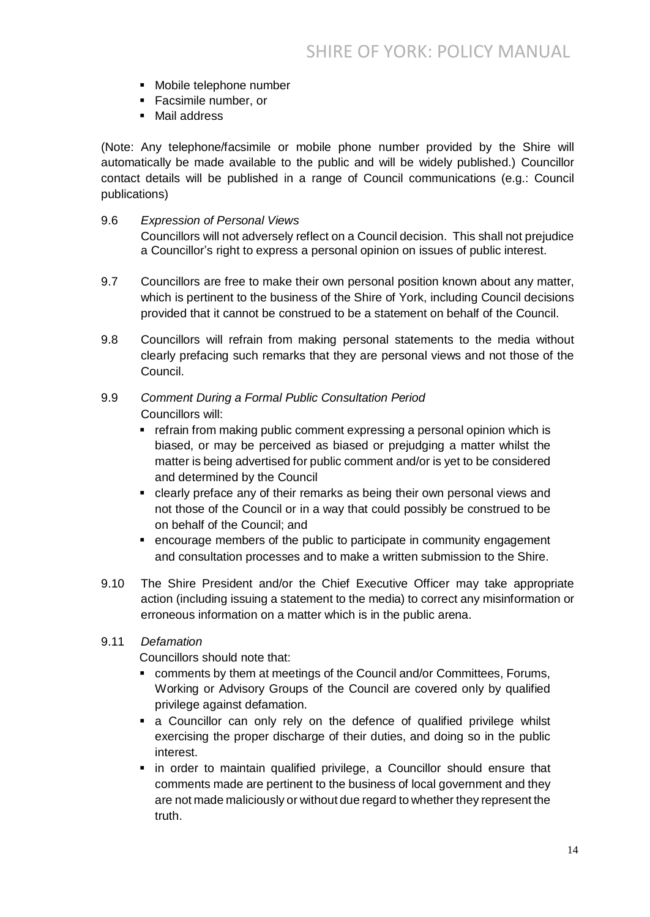- Mobile telephone number
- **Facsimile number, or**
- Mail address

(Note: Any telephone/facsimile or mobile phone number provided by the Shire will automatically be made available to the public and will be widely published.) Councillor contact details will be published in a range of Council communications (e.g.: Council publications)

#### 9.6 *Expression of Personal Views*

Councillors will not adversely reflect on a Council decision. This shall not prejudice a Councillor's right to express a personal opinion on issues of public interest.

- 9.7 Councillors are free to make their own personal position known about any matter, which is pertinent to the business of the Shire of York, including Council decisions provided that it cannot be construed to be a statement on behalf of the Council.
- 9.8 Councillors will refrain from making personal statements to the media without clearly prefacing such remarks that they are personal views and not those of the Council.

## 9.9 *Comment During a Formal Public Consultation Period* Councillors will:

- refrain from making public comment expressing a personal opinion which is biased, or may be perceived as biased or prejudging a matter whilst the matter is being advertised for public comment and/or is yet to be considered and determined by the Council
- clearly preface any of their remarks as being their own personal views and not those of the Council or in a way that could possibly be construed to be on behalf of the Council; and
- encourage members of the public to participate in community engagement and consultation processes and to make a written submission to the Shire.
- 9.10 The Shire President and/or the Chief Executive Officer may take appropriate action (including issuing a statement to the media) to correct any misinformation or erroneous information on a matter which is in the public arena.
- 9.11 *Defamation*

Councillors should note that:

- comments by them at meetings of the Council and/or Committees, Forums, Working or Advisory Groups of the Council are covered only by qualified privilege against defamation.
- a Councillor can only rely on the defence of qualified privilege whilst exercising the proper discharge of their duties, and doing so in the public interest.
- in order to maintain qualified privilege, a Councillor should ensure that comments made are pertinent to the business of local government and they are not made maliciously or without due regard to whether they represent the truth.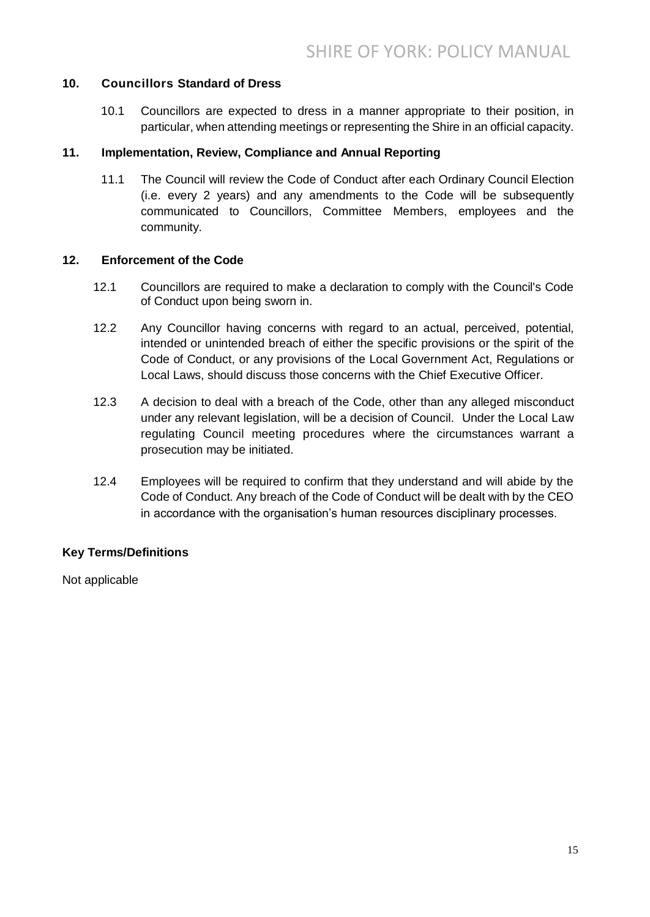## **10. Councillors Standard of Dress**

10.1 Councillors are expected to dress in a manner appropriate to their position, in particular, when attending meetings or representing the Shire in an official capacity.

#### **11. Implementation, Review, Compliance and Annual Reporting**

11.1 The Council will review the Code of Conduct after each Ordinary Council Election (i.e. every 2 years) and any amendments to the Code will be subsequently communicated to Councillors, Committee Members, employees and the community.

#### **12. Enforcement of the Code**

- 12.1 Councillors are required to make a declaration to comply with the Council's Code of Conduct upon being sworn in.
- 12.2 Any Councillor having concerns with regard to an actual, perceived, potential, intended or unintended breach of either the specific provisions or the spirit of the Code of Conduct, or any provisions of the Local Government Act, Regulations or Local Laws, should discuss those concerns with the Chief Executive Officer.
- 12.3 A decision to deal with a breach of the Code, other than any alleged misconduct under any relevant legislation, will be a decision of Council. Under the Local Law regulating Council meeting procedures where the circumstances warrant a prosecution may be initiated.
- 12.4 Employees will be required to confirm that they understand and will abide by the Code of Conduct. Any breach of the Code of Conduct will be dealt with by the CEO in accordance with the organisation's human resources disciplinary processes.

## **Key Terms/Definitions**

Not applicable